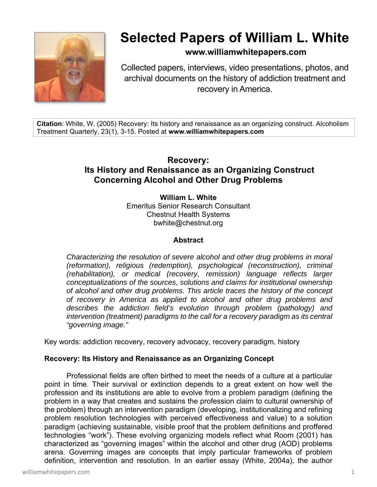

# **Selected Papers of William L. White**

**www.williamwhitepapers.com**

Collected papers, interviews, video presentations, photos, and archival documents on the history of addiction treatment and recovery in America.

**Citation**: White, W. (2005) Recovery: Its history and renaissance as an organizing construct. Alcoholism Treatment Quarterly, 23(1), 3-15. Posted at **www.williamwhitepapers.com** 

# **Recovery: Its History and Renaissance as an Organizing Construct Concerning Alcohol and Other Drug Problems**

**William L. White**  Emeritus Senior Research Consultant Chestnut Health Systems bwhite@chestnut.org

## **Abstract**

*Characterizing the resolution of severe alcohol and other drug problems in moral (reformation), religious (redemption), psychological (reconstruction), criminal (rehabilitation), or medical (recovery, remission) language reflects larger conceptualizations of the sources, solutions and claims for institutional ownership of alcohol and other drug problems. This article traces the history of the concept of recovery in America as applied to alcohol and other drug problems and describes the addiction field's evolution through problem (pathology) and intervention (treatment) paradigms to the call for a recovery paradigm as its central "governing image."* 

Key words: addiction recovery, recovery advocacy, recovery paradigm, history

#### **Recovery: Its History and Renaissance as an Organizing Concept**

 Professional fields are often birthed to meet the needs of a culture at a particular point in time. Their survival or extinction depends to a great extent on how well the profession and its institutions are able to evolve from a problem paradigm (defining the problem in a way that creates and sustains the profession claim to cultural ownership of the problem) through an intervention paradigm (developing, institutionalizing and refining problem resolution technologies with perceived effectiveness and value) to a solution paradigm (achieving sustainable, visible proof that the problem definitions and proffered technologies "work"). These evolving organizing models reflect what Room (2001) has characterized as "governing images" within the alcohol and other drug (AOD) problems arena. Governing images are concepts that imply particular frameworks of problem definition, intervention and resolution. In an earlier essay (White, 2004a), the author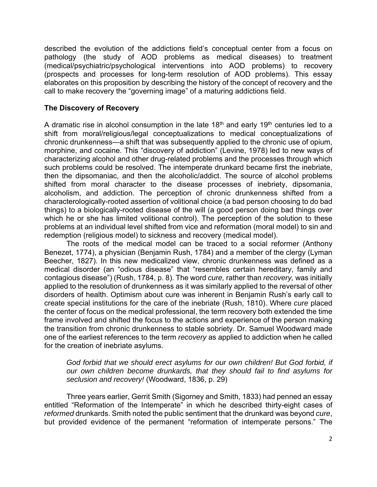described the evolution of the addictions field's conceptual center from a focus on pathology (the study of AOD problems as medical diseases) to treatment (medical/psychiatric/psychological interventions into AOD problems) to recovery (prospects and processes for long-term resolution of AOD problems). This essay elaborates on this proposition by describing the history of the concept of recovery and the call to make recovery the "governing image" of a maturing addictions field.

#### **The Discovery of Recovery**

A dramatic rise in alcohol consumption in the late  $18<sup>th</sup>$  and early  $19<sup>th</sup>$  centuries led to a shift from moral/religious/legal conceptualizations to medical conceptualizations of chronic drunkenness—a shift that was subsequently applied to the chronic use of opium, morphine, and cocaine. This "discovery of addiction" (Levine, 1978) led to new ways of characterizing alcohol and other drug-related problems and the processes through which such problems could be resolved. The intemperate drunkard became first the inebriate, then the dipsomaniac, and then the alcoholic/addict. The source of alcohol problems shifted from moral character to the disease processes of inebriety, dipsomania, alcoholism, and addiction. The perception of chronic drunkenness shifted from a characterologically-rooted assertion of volitional choice (a bad person choosing to do bad things) to a biologically-rooted disease of the will (a good person doing bad things over which he or she has limited volitional control). The perception of the solution to these problems at an individual level shifted from vice and reformation (moral model) to sin and redemption (religious model) to sickness and recovery (medical model).

The roots of the medical model can be traced to a social reformer (Anthony Benezet, 1774), a physician (Benjamin Rush, 1784) and a member of the clergy (Lyman Beecher, 1827). In this new medicalized view, chronic drunkenness was defined as a medical disorder (an "odious disease" that "resembles certain hereditary, family and contagious disease") (Rush, 1784, p. 8). The word *cure,* rather than *recovery,* was initially applied to the resolution of drunkenness as it was similarly applied to the reversal of other disorders of health. Optimism about cure was inherent in Benjamin Rush's early call to create special institutions for the care of the inebriate (Rush, 1810). Where *cure* placed the center of focus on the medical professional, the term recovery both extended the time frame involved and shifted the focus to the actions and experience of the person making the transition from chronic drunkenness to stable sobriety. Dr. Samuel Woodward made one of the earliest references to the term *recovery* as applied to addiction when he called for the creation of inebriate asylums.

#### *God forbid that we should erect asylums for our own children! But God forbid, if our own children become drunkards, that they should fail to find asylums for seclusion and recovery!* (Woodward, 1836, p. 29)

Three years earlier, Gerrit Smith (Sigorney and Smith, 1833) had penned an essay entitled "Reformation of the Intemperate" in which he described thirty-eight cases of *reformed* drunkards. Smith noted the public sentiment that the drunkard was beyond *cure*, but provided evidence of the permanent "reformation of intemperate persons." The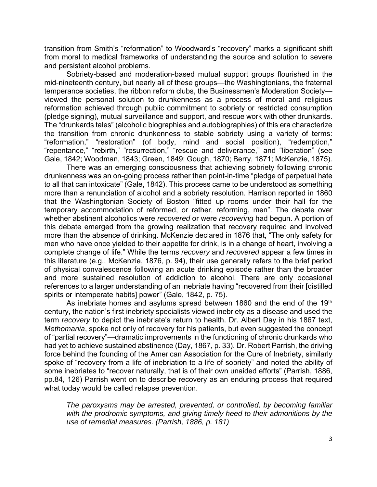transition from Smith's "reformation" to Woodward's "recovery" marks a significant shift from moral to medical frameworks of understanding the source and solution to severe and persistent alcohol problems.

Sobriety-based and moderation-based mutual support groups flourished in the mid-nineteenth century, but nearly all of these groups—the Washingtonians, the fraternal temperance societies, the ribbon reform clubs, the Businessmen's Moderation Society viewed the personal solution to drunkenness as a process of moral and religious reformation achieved through public commitment to sobriety or restricted consumption (pledge signing), mutual surveillance and support, and rescue work with other drunkards. The "drunkards tales" (alcoholic biographies and autobiographies) of this era characterize the transition from chronic drunkenness to stable sobriety using a variety of terms: "reformation," "restoration" (of body, mind and social position), "redemption," "repentance," "rebirth," "resurrection," "rescue and deliverance," and "liberation" (see Gale, 1842; Woodman, 1843; Green, 1849; Gough, 1870; Berry, 1871; McKenzie, 1875).

There was an emerging consciousness that achieving sobriety following chronic drunkenness was an on-going process rather than point-in-time "pledge of perpetual hate to all that can intoxicate" (Gale, 1842). This process came to be understood as something more than a renunciation of alcohol and a sobriety resolution. Harrison reported in 1860 that the Washingtonian Society of Boston "fitted up rooms under their hall for the temporary accommodation of reformed, or rather, reforming, men". The debate over whether abstinent alcoholics were *recovered* or were *recovering* had begun. A portion of this debate emerged from the growing realization that recovery required and involved more than the absence of drinking. McKenzie declared in 1876 that, "The only safety for men who have once yielded to their appetite for drink, is in a change of heart, involving a complete change of life." While the terms *recovery* and *recovered* appear a few times in this literature (e.g., McKenzie, 1876, p. 94), their use generally refers to the brief period of physical convalescence following an acute drinking episode rather than the broader and more sustained resolution of addiction to alcohol. There are only occasional references to a larger understanding of an inebriate having "recovered from their [distilled spirits or intemperate habits] power" (Gale, 1842, p. 75).

As inebriate homes and asylums spread between 1860 and the end of the 19<sup>th</sup> century, the nation's first inebriety specialists viewed inebriety as a disease and used the term *recovery* to depict the inebriate's return to health. Dr. Albert Day in his 1867 text, *Methomania*, spoke not only of recovery for his patients, but even suggested the concept of "partial recovery"—dramatic improvements in the functioning of chronic drunkards who had yet to achieve sustained abstinence (Day, 1867, p. 33). Dr. Robert Parrish, the driving force behind the founding of the American Association for the Cure of Inebriety, similarly spoke of "recovery from a life of inebriation to a life of sobriety" and noted the ability of some inebriates to "recover naturally, that is of their own unaided efforts" (Parrish, 1886, pp.84, 126) Parrish went on to describe recovery as an enduring process that required what today would be called relapse prevention.

*The paroxysms may be arrested, prevented, or controlled, by becoming familiar with the prodromic symptoms, and giving timely heed to their admonitions by the use of remedial measures. (Parrish, 1886, p. 181)*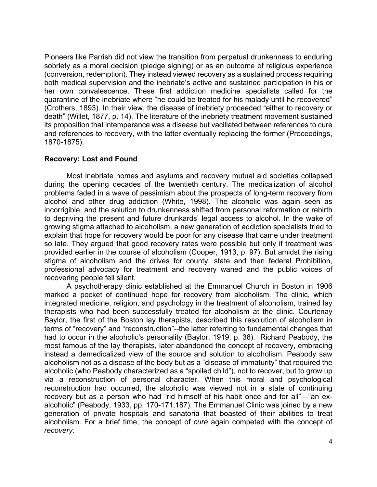Pioneers like Parrish did not view the transition from perpetual drunkenness to enduring sobriety as a moral decision (pledge signing) or as an outcome of religious experience (conversion, redemption). They instead viewed recovery as a sustained process requiring both medical supervision and the inebriate's active and sustained participation in his or her own convalescence. These first addiction medicine specialists called for the quarantine of the inebriate where "he could be treated for his malady until he recovered" (Crothers, 1893). In their view, the disease of inebriety proceeded "either to recovery or death" (Willet, 1877, p. 14). The literature of the inebriety treatment movement sustained its proposition that intemperance was a disease but vacillated between references to cure and references to recovery, with the latter eventually replacing the former (Proceedings, 1870-1875).

#### **Recovery: Lost and Found**

Most inebriate homes and asylums and recovery mutual aid societies collapsed during the opening decades of the twentieth century. The medicalization of alcohol problems faded in a wave of pessimism about the prospects of long-term recovery from alcohol and other drug addiction (White, 1998). The alcoholic was again seen as incorrigible, and the solution to drunkenness shifted from personal reformation or rebirth to depriving the present and future drunkards' legal access to alcohol. In the wake of growing stigma attached to alcoholism, a new generation of addiction specialists tried to explain that hope for recovery would be poor for any disease that came under treatment so late. They argued that good recovery rates were possible but only if treatment was provided earlier in the course of alcoholism (Cooper, 1913, p. 97). But amidst the rising stigma of alcoholism and the drives for county, state and then federal Prohibition, professional advocacy for treatment and recovery waned and the public voices of recovering people fell silent.

A psychotherapy clinic established at the Emmanuel Church in Boston in 1906 marked a pocket of continued hope for recovery from alcoholism. The clinic, which integrated medicine, religion, and psychology in the treatment of alcoholism, trained lay therapists who had been successfully treated for alcoholism at the clinic. Courtenay Baylor, the first of the Boston lay therapists, described this resolution of alcoholism in terms of "recovery" and "reconstruction"--the latter referring to fundamental changes that had to occur in the alcoholic's personality (Baylor, 1919, p. 38). Richard Peabody, the most famous of the lay therapists, later abandoned the concept of recovery, embracing instead a demedicalized view of the source and solution to alcoholism. Peabody saw alcoholism not as a disease of the body but as a "disease of immaturity" that required the alcoholic (who Peabody characterized as a "spoiled child"), not to recover, but to grow up via a reconstruction of personal character. When this moral and psychological reconstruction had occurred, the alcoholic was viewed not in a state of continuing recovery but as a person who had "rid himself of his habit once and for all"—"an exalcoholic" (Peabody, 1933, pp. 170-171,187). The Emmanuel Clinic was joined by a new generation of private hospitals and sanatoria that boasted of their abilities to treat alcoholism. For a brief time, the concept of *cure* again competed with the concept of *recovery*.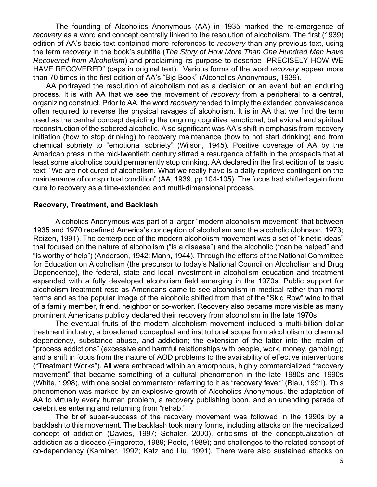The founding of Alcoholics Anonymous (AA) in 1935 marked the re-emergence of *recovery* as a word and concept centrally linked to the resolution of alcoholism. The first (1939) edition of AA's basic text contained more references to *recovery* than any previous text, using the term *recovery* in the book's subtitle (*The Story of How More Than One Hundred Men Have Recovered from Alcoholism*) and proclaiming its purpose to describe "PRECISELY HOW WE HAVE RECOVERED" (caps in original text). Various forms of the word *recovery* appear more than 70 times in the first edition of AA's "Big Book" (Alcoholics Anonymous, 1939).

 AA portrayed the resolution of alcoholism not as a decision or an event but an enduring process. It is with AA that we see the movement of *recovery* from a peripheral to a central, organizing construct. Prior to AA, the word *recovery* tended to imply the extended convalescence often required to reverse the physical ravages of alcoholism. It is in AA that we find the term used as the central concept depicting the ongoing cognitive, emotional, behavioral and spiritual reconstruction of the sobered alcoholic. Also significant was AA's shift in emphasis from recovery initiation (how to stop drinking) to recovery maintenance (how to not start drinking) and from chemical sobriety to "emotional sobriety" (Wilson, 1945). Positive coverage of AA by the American press in the mid-twentieth century stirred a resurgence of faith in the prospects that at least some alcoholics could permanently stop drinking. AA declared in the first edition of its basic text: "We are not cured of alcoholism. What we really have is a daily reprieve contingent on the maintenance of our spiritual condition" (AA, 1939, pp 104-105). The focus had shifted again from cure to recovery as a time-extended and multi-dimensional process.

#### **Recovery, Treatment, and Backlash**

Alcoholics Anonymous was part of a larger "modern alcoholism movement" that between 1935 and 1970 redefined America's conception of alcoholism and the alcoholic (Johnson, 1973; Roizen, 1991). The centerpiece of the modern alcoholism movement was a set of "kinetic ideas" that focused on the nature of alcoholism ("is a disease") and the alcoholic ("can be helped" and "is worthy of help") (Anderson, 1942; Mann, 1944). Through the efforts of the National Committee for Education on Alcoholism (the precursor to today's National Council on Alcoholism and Drug Dependence), the federal, state and local investment in alcoholism education and treatment expanded with a fully developed alcoholism field emerging in the 1970s. Public support for alcoholism treatment rose as Americans came to see alcoholism in medical rather than moral terms and as the popular image of the alcoholic shifted from that of the "Skid Row" wino to that of a family member, friend, neighbor or co-worker. Recovery also became more visible as many prominent Americans publicly declared their recovery from alcoholism in the late 1970s.

The eventual fruits of the modern alcoholism movement included a multi-billion dollar treatment industry; a broadened conceptual and institutional scope from alcoholism to chemical dependency, substance abuse, and addiction; the extension of the latter into the realm of "process addictions" (excessive and harmful relationships with people, work, money, gambling); and a shift in focus from the nature of AOD problems to the availability of effective interventions ("Treatment Works"). All were embraced within an amorphous, highly commercialized "recovery movement" that became something of a cultural phenomenon in the late 1980s and 1990s (White, 1998), with one social commentator referring to it as "recovery fever" (Blau, 1991). This phenomenon was marked by an explosive growth of Alcoholics Anonymous, the adaptation of AA to virtually every human problem, a recovery publishing boon, and an unending parade of celebrities entering and returning from "rehab."

The brief super-success of the recovery movement was followed in the 1990s by a backlash to this movement. The backlash took many forms, including attacks on the medicalized concept of addiction (Davies, 1997; Schaler, 2000), criticisms of the conceptualization of addiction as a disease (Fingarette, 1989; Peele, 1989); and challenges to the related concept of co-dependency (Kaminer, 1992; Katz and Liu, 1991). There were also sustained attacks on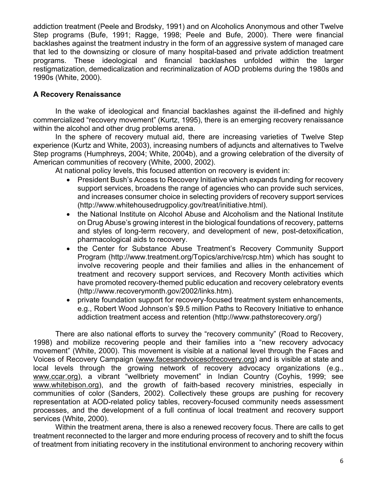addiction treatment (Peele and Brodsky, 1991) and on Alcoholics Anonymous and other Twelve Step programs (Bufe, 1991; Ragge, 1998; Peele and Bufe, 2000). There were financial backlashes against the treatment industry in the form of an aggressive system of managed care that led to the downsizing or closure of many hospital-based and private addiction treatment programs. These ideological and financial backlashes unfolded within the larger restigmatization, demedicalization and recriminalization of AOD problems during the 1980s and 1990s (White, 2000).

## **A Recovery Renaissance**

 In the wake of ideological and financial backlashes against the ill-defined and highly commercialized "recovery movement" (Kurtz, 1995), there is an emerging recovery renaissance within the alcohol and other drug problems arena.

 In the sphere of recovery mutual aid, there are increasing varieties of Twelve Step experience (Kurtz and White, 2003), increasing numbers of adjuncts and alternatives to Twelve Step programs (Humphreys, 2004; White, 2004b), and a growing celebration of the diversity of American communities of recovery (White, 2000, 2002).

At national policy levels, this focused attention on recovery is evident in:

- President Bush's Access to Recovery Initiative which expands funding for recovery support services, broadens the range of agencies who can provide such services, and increases consumer choice in selecting providers of recovery support services (http://www.whitehousedrugpolicy.gov/treat/initiative.html).
- the National Institute on Alcohol Abuse and Alcoholism and the National Institute on Drug Abuse's growing interest in the biological foundations of recovery, patterns and styles of long-term recovery, and development of new, post-detoxification, pharmacological aids to recovery.
- the Center for Substance Abuse Treatment's Recovery Community Support Program (http://www.treatment.org/Topics/archive/rcsp.htm) which has sought to involve recovering people and their families and allies in the enhancement of treatment and recovery support services, and Recovery Month activities which have promoted recovery-themed public education and recovery celebratory events (http://www.recoverymonth.gov/2002/links.htm).
- private foundation support for recovery-focused treatment system enhancements, e.g., Robert Wood Johnson's \$9.5 million Paths to Recovery Initiative to enhance addiction treatment access and retention (http://www.pathstorecovery.org/)

There are also national efforts to survey the "recovery community" (Road to Recovery, 1998) and mobilize recovering people and their families into a "new recovery advocacy movement" (White, 2000). This movement is visible at a national level through the Faces and Voices of Recovery Campaign (www.facesandvoicesofrecovery.org) and is visible at state and local levels through the growing network of recovery advocacy organizations (e.g., www.ccar.org), a vibrant "wellbriety movement" in Indian Country (Coyhis, 1999; see www.whitebison.org), and the growth of faith-based recovery ministries, especially in communities of color (Sanders, 2002). Collectively these groups are pushing for recovery representation at AOD-related policy tables, recovery-focused community needs assessment processes, and the development of a full continua of local treatment and recovery support services (White, 2000).

Within the treatment arena, there is also a renewed recovery focus. There are calls to get treatment reconnected to the larger and more enduring process of recovery and to shift the focus of treatment from initiating recovery in the institutional environment to anchoring recovery within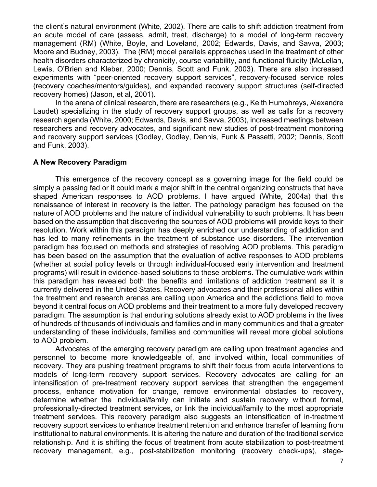the client's natural environment (White, 2002). There are calls to shift addiction treatment from an acute model of care (assess, admit, treat, discharge) to a model of long-term recovery management (RM) (White, Boyle, and Loveland, 2002; Edwards, Davis, and Savva, 2003; Moore and Budney, 2003). The (RM) model parallels approaches used in the treatment of other health disorders characterized by chronicity, course variability, and functional fluidity (McLellan, Lewis, O'Brien and Kleber, 2000; Dennis, Scott and Funk, 2003). There are also increased experiments with "peer-oriented recovery support services", recovery-focused service roles (recovery coaches/mentors/guides), and expanded recovery support structures (self-directed recovery homes) (Jason, et al, 2001).

In the arena of clinical research, there are researchers (e.g., Keith Humphreys, Alexandre Laudet) specializing in the study of recovery support groups, as well as calls for a recovery research agenda (White, 2000; Edwards, Davis, and Savva, 2003), increased meetings between researchers and recovery advocates, and significant new studies of post-treatment monitoring and recovery support services (Godley, Godley, Dennis, Funk & Passetti, 2002; Dennis, Scott and Funk, 2003).

#### **A New Recovery Paradigm**

 This emergence of the recovery concept as a governing image for the field could be simply a passing fad or it could mark a major shift in the central organizing constructs that have shaped American responses to AOD problems. I have argued (White, 2004a) that this renaissance of interest in recovery is the latter. The pathology paradigm has focused on the nature of AOD problems and the nature of individual vulnerability to such problems. It has been based on the assumption that discovering the sources of AOD problems will provide keys to their resolution. Work within this paradigm has deeply enriched our understanding of addiction and has led to many refinements in the treatment of substance use disorders. The intervention paradigm has focused on methods and strategies of resolving AOD problems. This paradigm has been based on the assumption that the evaluation of active responses to AOD problems (whether at social policy levels or through individual-focused early intervention and treatment programs) will result in evidence-based solutions to these problems. The cumulative work within this paradigm has revealed both the benefits and limitations of addiction treatment as it is currently delivered in the United States. Recovery advocates and their professional allies within the treatment and research arenas are calling upon America and the addictions field to move beyond it central focus on AOD problems and their treatment to a more fully developed recovery paradigm. The assumption is that enduring solutions already exist to AOD problems in the lives of hundreds of thousands of individuals and families and in many communities and that a greater understanding of these individuals, families and communities will reveal more global solutions to AOD problem.

Advocates of the emerging recovery paradigm are calling upon treatment agencies and personnel to become more knowledgeable of, and involved within, local communities of recovery. They are pushing treatment programs to shift their focus from acute interventions to models of long-term recovery support services. Recovery advocates are calling for an intensification of pre-treatment recovery support services that strengthen the engagement process, enhance motivation for change, remove environmental obstacles to recovery, determine whether the individual/family can initiate and sustain recovery without formal, professionally-directed treatment services, or link the individual/family to the most appropriate treatment services. This recovery paradigm also suggests an intensification of in-treatment recovery support services to enhance treatment retention and enhance transfer of learning from institutional to natural environments. It is altering the nature and duration of the traditional service relationship. And it is shifting the focus of treatment from acute stabilization to post-treatment recovery management, e.g., post-stabilization monitoring (recovery check-ups), stage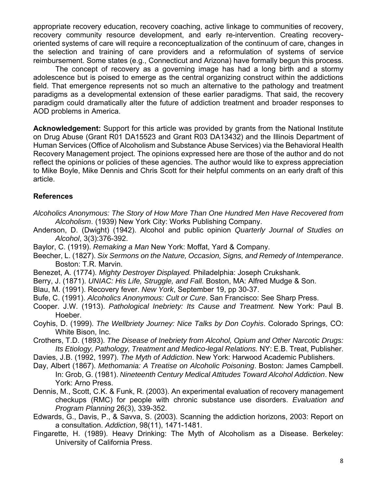appropriate recovery education, recovery coaching, active linkage to communities of recovery, recovery community resource development, and early re-intervention. Creating recoveryoriented systems of care will require a reconceptualization of the continuum of care, changes in the selection and training of care providers and a reformulation of systems of service reimbursement. Some states (e.g., Connecticut and Arizona) have formally begun this process.

The concept of recovery as a governing image has had a long birth and a stormy adolescence but is poised to emerge as the central organizing construct within the addictions field. That emergence represents not so much an alternative to the pathology and treatment paradigms as a developmental extension of these earlier paradigms. That said, the recovery paradigm could dramatically alter the future of addiction treatment and broader responses to AOD problems in America.

**Acknowledgement:** Support for this article was provided by grants from the National Institute on Drug Abuse (Grant R01 DA15523 and Grant R03 DA13432) and the Illinois Department of Human Services (Office of Alcoholism and Substance Abuse Services) via the Behavioral Health Recovery Management project. The opinions expressed here are those of the author and do not reflect the opinions or policies of these agencies. The author would like to express appreciation to Mike Boyle, Mike Dennis and Chris Scott for their helpful comments on an early draft of this article.

#### **References**

- *Alcoholics Anonymous: The Story of How More Than One Hundred Men Have Recovered from Alcoholism*. (1939) New York City: Works Publishing Company.
- Anderson, D. (Dwight) (1942). Alcohol and public opinion *Quarterly Journal of Studies on Alcohol*, 3(3):376-392.
- Baylor, C. (1919). *Remaking a Man* New York: Moffat, Yard & Company.
- Beecher, L. (1827). *Six Sermons on the Nature, Occasion, Signs, and Remedy of Intemperance*. Boston: T.R. Marvin.
- Benezet, A. (1774). *Mighty Destroyer Displayed.* Philadelphia: Joseph Crukshank*.*
- Berry, J. (1871). *UNIAC: His Life, Struggle, and Fall.* Boston, MA: Alfred Mudge & Son.
- Blau, M. (1991). Recovery fever. *New York*, September 19, pp 30-37.
- Bufe, C. (1991). *Alcoholics Anonymous: Cult or Cure*. San Francisco: See Sharp Press.
- Cooper. J.W. (1913). *Pathological Inebriety: Its Cause and Treatment.* New York: Paul B. Hoeber.
- Coyhis, D. (1999). *The Wellbriety Journey: Nice Talks by Don Coyhis*. Colorado Springs, CO: White Bison, Inc.
- Crothers, T.D. (1893). *The Disease of Inebriety from Alcohol, Opium and Other Narcotic Drugs: Its Etiology, Pathology, Treatment and Medico-legal Relations.* NY: E.B. Treat, Publisher.
- Davies, J.B. (1992, 1997). *The Myth of Addiction*. New York: Harwood Academic Publishers.
- Day, Albert (1867). *Methomania: A Treatise on Alcoholic Poisoning*. Boston: James Campbell. In: Grob, G. (1981). *Nineteenth Century Medical Attitudes Toward Alcohol Addiction*. New York: Arno Press.
- Dennis, M., Scott, C.K. & Funk, R. (2003). An experimental evaluation of recovery management checkups (RMC) for people with chronic substance use disorders. *Evaluation and Program Planning* 26(3), 339-352.
- Edwards, G., Davis, P., & Savva, S. (2003). Scanning the addiction horizons, 2003: Report on a consultation. *Addiction*, 98(11), 1471-1481.
- Fingarette, H. (1989). Heavy Drinking: The Myth of Alcoholism as a Disease. Berkeley: University of California Press.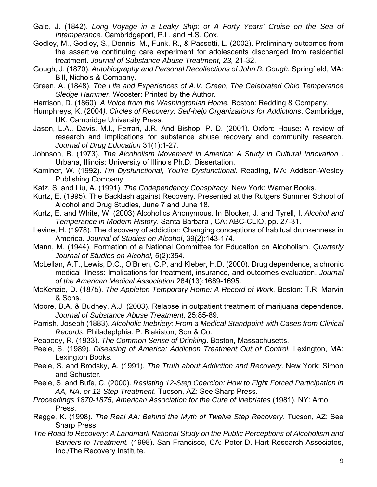- Gale, J. (1842). *Long Voyage in a Leaky Ship; or A Forty Years' Cruise on the Sea of Intemperance*. Cambridgeport, P.L. and H.S. Cox.
- Godley, M., Godley, S., Dennis, M., Funk, R., & Passetti, L. (2002). Preliminary outcomes from the assertive continuing care experiment for adolescents discharged from residential treatment. *Journal of Substance Abuse Treatment, 23,* 21-32.
- Gough, J. (1870). *Autobiography and Personal Recollections of John B. Gough.* Springfield, MA: Bill, Nichols & Company.
- Green, A. (1848). *The Life and Experiences of A.V. Green, The Celebrated Ohio Temperance Sledge Hammer*. Wooster: Printed by the Author.
- Harrison, D. (1860). *A Voice from the Washingtonian Home.* Boston: Redding & Company.
- Humphreys, K. (2004*). Circles of Recovery: Self-help Organizations for Addictions*. Cambridge, UK: Cambridge University Press.
- Jason, L.A., Davis, M.I., Ferrari, J.R. And Bishop, P. D. (2001). Oxford House: A review of research and implications for substance abuse recovery and community research. *Journal of Drug Education* 31(1):1-27.
- Johnson, B. (1973). *The Alcoholism Movement in America: A Study in Cultural Innovation* . Urbana, Illinois: University of Illinois Ph.D. Dissertation.
- Kaminer, W. (1992). *I'm Dysfunctional, You're Dysfunctional.* Reading, MA: Addison-Wesley Publishing Company.
- Katz, S. and Liu, A. (1991). *The Codependency Conspiracy.* New York: Warner Books.
- Kurtz, E. (1995). The Backlash against Recovery. Presented at the Rutgers Summer School of Alcohol and Drug Studies, June 7 and June 18.
- Kurtz, E. and White, W. (2003) Alcoholics Anonymous. In Blocker, J. and Tyrell, I. *Alcohol and Temperance in Modern History*. Santa Barbara , CA: ABC-CLIO, pp. 27-31.
- Levine, H. (1978). The discovery of addiction: Changing conceptions of habitual drunkenness in America. *Journal of Studies on Alcohol*, 39(2):143-174.
- Mann, M. (1944). Formation of a National Committee for Education on Alcoholism. *Quarterly Journal of Studies on Alcohol,* 5(2):354.
- McLellan, A.T., Lewis, D.C., O'Brien, C.P, and Kleber, H.D. (2000). Drug dependence, a chronic medical illness: Implications for treatment, insurance, and outcomes evaluation. *Journal of the American Medical Association* 284(13):1689-1695.
- McKenzie, D. (1875). *The Appleton Temporary Home: A Record of Work.* Boston: T.R. Marvin & Sons.
- Moore, B.A. & Budney, A.J. (2003). Relapse in outpatient treatment of marijuana dependence. *Journal of Substance Abuse Treatment*, 25:85-89.
- Parrish, Joseph (1883). *Alcoholic Inebriety: From a Medical Standpoint with Cases from Clinical Records*. Philadeplphia: P. Blakiston, Son & Co.
- Peabody, R. (1933). *The Common Sense of Drinking*. Boston, Massachusetts.
- Peele, S. (1989). *Diseasing of America: Addiction Treatment Out of Control.* Lexington, MA: Lexington Books.
- Peele, S. and Brodsky, A. (1991). *The Truth about Addiction and Recovery*. New York: Simon and Schuster.
- Peele, S. and Bufe, C. (2000). *Resisting 12-Step Coercion: How to Fight Forced Participation in AA, NA, or 12-Step Treatment*. Tucson, AZ: See Sharp Press.
- *Proceedings 1870-1875, American Association for the Cure of Inebriates* (1981). NY: Arno Press.
- Ragge, K. (1998). *The Real AA: Behind the Myth of Twelve Step Recovery*. Tucson, AZ: See Sharp Press.
- *The Road to Recovery: A Landmark National Study on the Public Perceptions of Alcoholism and Barriers to Treatment.* (1998). San Francisco, CA: Peter D. Hart Research Associates, Inc./The Recovery Institute.